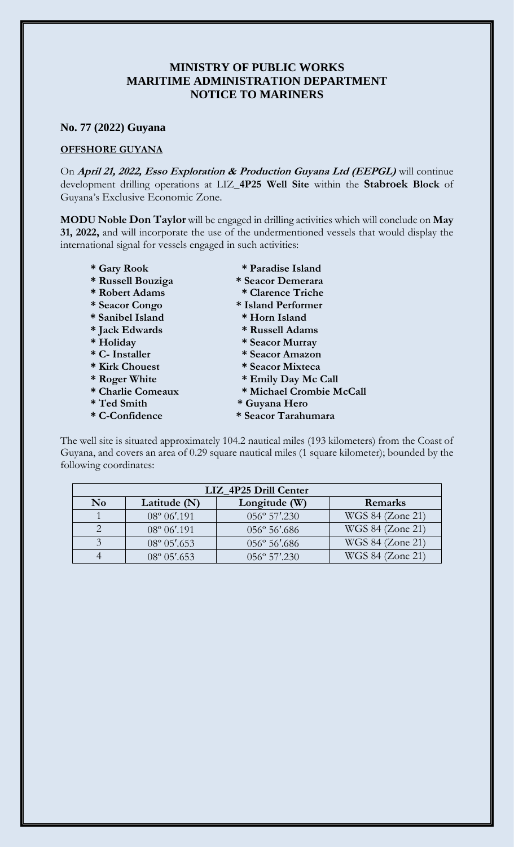## **MINISTRY OF PUBLIC WORKS MARITIME ADMINISTRATION DEPARTMENT NOTICE TO MARINERS**

## **No. 77 (2022) Guyana**

## **OFFSHORE GUYANA**

On **April 21, 2022, Esso Exploration & Production Guyana Ltd (EEPGL)** will continue development drilling operations at LIZ**\_4P25 Well Site** within the **Stabroek Block** of Guyana's Exclusive Economic Zone.

**MODU Noble Don Taylor** will be engaged in drilling activities which will conclude on **May 31, 2022,** and will incorporate the use of the undermentioned vessels that would display the international signal for vessels engaged in such activities:

- 
- **\* Russell Bouziga \* Seacor Demerara**
- **\* Robert Adams \* Clarence Triche**
- **\* Seacor Congo \* Island Performer**
- **\* Sanibel Island \* Horn Island**
- **\* Jack Edwards \* Russell Adams**
- 
- 
- 
- 
- 
- 
- 
- **\* Gary Rook \* Paradise Island**
	-
	-
	-
	-
	-
- **\* Holiday \* Seacor Murray**
- **\* C- Installer \* Seacor Amazon**
- **\* Kirk Chouest \* Seacor Mixteca**
- **\* Roger White \* Emily Day Mc Call**
- **\* Charlie Comeaux \* Michael Crombie McCall**
- **\* Ted Smith \* Guyana Hero**
- **\* C-Confidence \* Seacor Tarahumara**

The well site is situated approximately 104.2 nautical miles (193 kilometers) from the Coast of Guyana, and covers an area of 0.29 square nautical miles (1 square kilometer); bounded by the following coordinates:

| LIZ_4P25 Drill Center |                       |                        |                  |
|-----------------------|-----------------------|------------------------|------------------|
| N <sub>0</sub>        | Latitude (N)          | Longitude (W)          | Remarks          |
|                       | 08° 06'.191           | $056^{\circ} 57'$ .230 | WGS 84 (Zone 21) |
|                       | 08° 06'.191           | $056^{\circ} 56'$ .686 | WGS 84 (Zone 21) |
|                       | $08^{\circ} 05'$ .653 | 056° 56'.686           | WGS 84 (Zone 21) |
|                       | $08^{\circ} 05'$ .653 | $056^{\circ}$ 57'.230  | WGS 84 (Zone 21) |